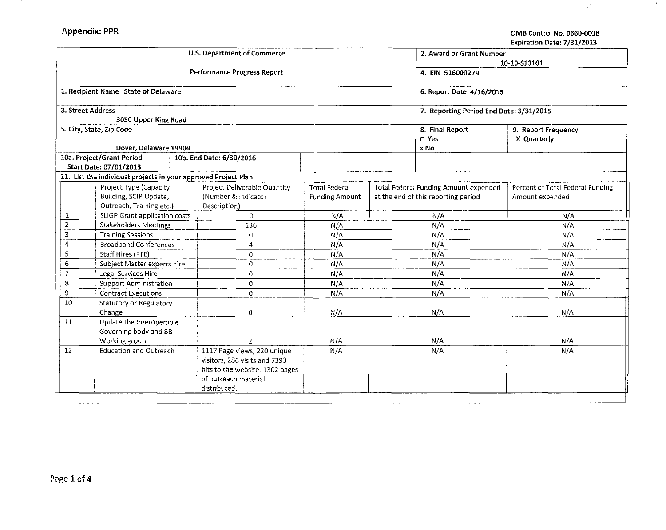P.

 $\sim$ 

 $\frac{3}{2}$ 

|                                |                                                                | Expiration Date: 7/31/2013 |                                 |                       |                                         |                                       |                                  |  |
|--------------------------------|----------------------------------------------------------------|----------------------------|---------------------------------|-----------------------|-----------------------------------------|---------------------------------------|----------------------------------|--|
|                                |                                                                |                            | U.S. Department of Commerce     |                       | 2. Award or Grant Number                |                                       |                                  |  |
|                                |                                                                |                            |                                 |                       | 10-10-S13101                            |                                       |                                  |  |
|                                |                                                                |                            | Performance Progress Report     |                       | 4. EIN 516000279                        |                                       |                                  |  |
|                                | 1. Recipient Name State of Delaware                            |                            |                                 |                       | 6. Report Date 4/16/2015                |                                       |                                  |  |
| 3. Street Address              | 3050 Upper King Road                                           |                            |                                 |                       | 7. Reporting Period End Date: 3/31/2015 |                                       |                                  |  |
|                                | 5. City, State, Zip Code                                       |                            |                                 |                       | 8. Final Report<br>$\square$ Yes        | 9. Report Frequency<br>X Quarterly    |                                  |  |
|                                | Dover, Delaware 19904                                          |                            |                                 |                       |                                         | x No                                  |                                  |  |
|                                | 10a. Project/Grant Period                                      |                            | 10b. End Date: 6/30/2016        |                       |                                         |                                       |                                  |  |
|                                | Start Date: 07/01/2013                                         |                            |                                 |                       |                                         |                                       |                                  |  |
|                                | 11. List the individual projects in your approved Project Plan |                            |                                 |                       |                                         |                                       |                                  |  |
|                                | Project Type (Capacity                                         |                            | Project Deliverable Quantity    | <b>Total Federal</b>  |                                         | Total Federal Funding Amount expended | Percent of Total Federal Funding |  |
|                                | Building, SCIP Update,                                         |                            | (Number & Indicator             | <b>Funding Amount</b> | at the end of this reporting period     |                                       | Amount expended                  |  |
|                                | Outreach, Training etc.)                                       |                            | Description)                    |                       |                                         |                                       |                                  |  |
| 1                              | SLIGP Grant application costs                                  |                            | $\circ$                         | N/A                   | N/A                                     |                                       | N/A                              |  |
| $\overline{2}$                 | <b>Stakeholders Meetings</b>                                   |                            | 136                             | N/A                   | N/A                                     |                                       | N/A                              |  |
| 3                              | <b>Training Sessions</b>                                       |                            | $\mathbf{O}$                    | N/A                   | N/A                                     |                                       | N/A                              |  |
| 4                              | <b>Broadband Conferences</b>                                   |                            | 4                               | N/A                   | N/A                                     |                                       | N/A                              |  |
| 5                              | Staff Hires (FTE)                                              |                            | $\circ$                         | N/A                   | N/A                                     |                                       | N/A                              |  |
|                                | 6<br>Subject Matter experts hire                               |                            | $\Omega$                        | N/A                   | N/A                                     |                                       | N/A                              |  |
|                                | $\overline{7}$<br>Legal Services Hire                          |                            | 0                               | N/A                   | N/A                                     |                                       | $\mathsf{N}/\mathsf{A}$          |  |
|                                | 8<br>Support Administration                                    |                            | $\circ$                         | N/A                   | N/A                                     |                                       | N/A                              |  |
| 9                              | <b>Contract Executions</b>                                     |                            | $\mathbf 0$                     | N/A                   | N/A                                     |                                       | N/A                              |  |
| 10                             | Statutory or Regulatory                                        |                            |                                 |                       |                                         |                                       |                                  |  |
|                                | Change                                                         |                            | 0                               | N/A                   | N/A                                     |                                       | N/A                              |  |
| 11<br>Update the Interoperable |                                                                |                            |                                 |                       |                                         |                                       |                                  |  |
| Governing body and BB          |                                                                |                            |                                 |                       |                                         |                                       |                                  |  |
|                                | Working group                                                  |                            | $\overline{2}$                  | N/A                   | N/A                                     |                                       | N/A                              |  |
|                                | 12 <sup>2</sup><br><b>Education and Outreach</b>               |                            | 1117 Page views, 220 unique     | N/A                   | N/A                                     |                                       | N/A                              |  |
|                                |                                                                |                            | visitors, 286 visits and 7393   |                       |                                         |                                       |                                  |  |
|                                |                                                                |                            | hits to the website. 1302 pages |                       |                                         |                                       |                                  |  |
|                                |                                                                |                            | of outreach material            |                       |                                         |                                       |                                  |  |
|                                |                                                                |                            | distributed.                    |                       |                                         |                                       |                                  |  |

 $\sim$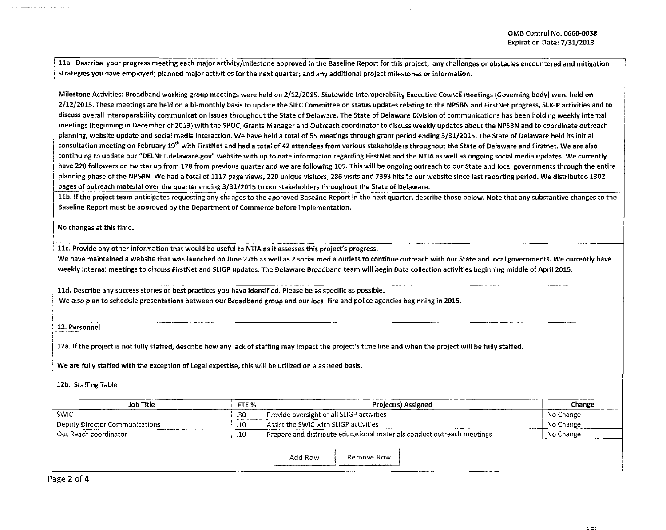11a. Describe your progress meeting each major activity/milestone approved in the Baseline Report for this project; any challenges or obstacles encountered and mitigation strategies you have employed; planned major activities for the next quarter; and any additional project milestones or information.

Milestone Activities: Broadband working group meetings were held on 2/12/2015. Statewide lnteroperability Executive Council meetings (Governing body) were held on 2/12/2015. These meetings are held on a bi-monthly basis to update the SIEC Committee on status updates relating to the NPSBN and FirstNet progress, SLIGP activities and to discuss overall interoperability communication issues throughout the State of Delaware. The State of Delaware Division of communications has been holding weekly internal meetings (beginning in December of 2013) with the *SPOC,* Grants Manager and Outreach coordinator to discuss weekly updates about the NPSBN and to coordinate outreach planning, website update and social media interaction. We have held a total of 55 meetings through grant period ending 3/31/2015. The State of Delaware held its initial consultation meeting on February 19<sup>th</sup> with FirstNet and had a total of 42 attendees from various stakeholders throughout the State of Delaware and Firstnet. We are also continuing to update our "DELNET.delaware.gov" website with up to date information regarding FirstNet and the NTIA as well as ongoing social media updates. We currently have 228 followers on twitter up from 178 from previous quarter and we are following 105. This will be ongoing outreach to our State and local governments through the entire planning phase of the NPSBN. We had a total of 1117 page views, 220 unique visitors, 286 visits and 7393 hits to our website since last reporting period. We distributed 1302 pages of outreach material over the quarter ending 3/31/2015 to our stakeholders throughout the State of Delaware.

llb. If the project team anticipates requesting any changes to the approved Baseline Report in the next quarter, describe those below. Note that any substantive changes to the Baseline Report must be approved by the Department of Commerce before implementation.

No changes at this time.

llc. Provide any other information that would be useful to NTIA as it assesses this project's progress.

We have maintained a website that was launched on June 27th as well as 2 social media outlets to continue outreach with our State and local governments. We currently have weekly internal meetings to discuss FirstNet and SLIGP updates. The Delaware Broadband team will begin Data collection activities beginning middle of April2015.

, lld. Describe any success stories or best practices you have identified. Please be as specific as possible.

I We also plan to schedule presentations between our Broadband group and our local fire and police agencies beginning in 2015.

 $\overline{\phantom{a}}$ 12. Personnel

12a. If the project is not fully staffed, describe how any lack of staffing may impact the project's time line and when the project will be fully staffed.

We are fully staffed with the exception of legal expertise, this will be utilized on a as need basis.

12b. Staffing Table

| <b>Job Title</b>               | FTE %      | <b>Project(s) Assigned</b>                                             | Change    |
|--------------------------------|------------|------------------------------------------------------------------------|-----------|
| SWIC                           | -30        | <sup>1</sup> Provide oversight of all SLIGP activities                 | No Change |
| Deputy Director Communications | $\cdot$ 10 | Assist the SWIC with SLIGP activities                                  | No Change |
| `Out Reach coordinator         | .10        | Prepare and distribute educational materials conduct outreach meetings | No Change |
|                                |            |                                                                        |           |

Add Row | Remove Row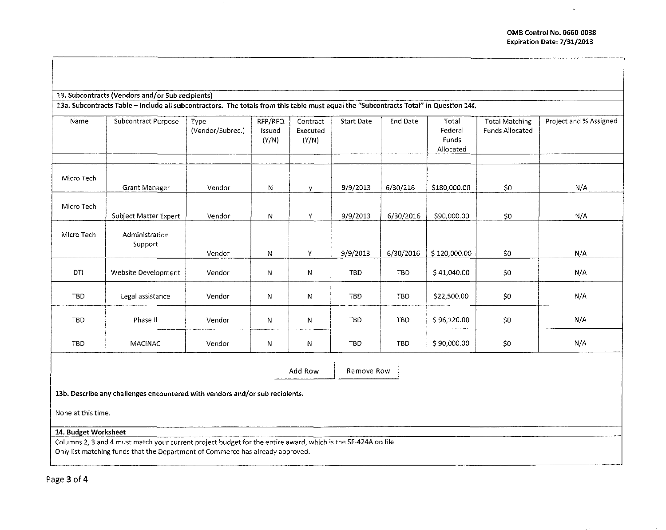| 13. Subcontracts (Vendors and/or Sub recipients) |
|--------------------------------------------------|
|--------------------------------------------------|

13a. Subcontracts Table - Include all subcontractors. The totals from this table must equal the "Subcontracts Total" in Question 14f.

| Name       | Subcontract Purpose       | Type<br>(Vendor/Subrec.) | RFP/RFQ<br>Issued<br>(Y/N) | Contract<br>Executed<br>(Y/N) | <b>Start Date</b> | End Date   | Total<br>Federal<br>Funds<br>Allocated | <b>Total Matching</b><br><b>Funds Allocated</b> | Project and % Assigned |
|------------|---------------------------|--------------------------|----------------------------|-------------------------------|-------------------|------------|----------------------------------------|-------------------------------------------------|------------------------|
| Micro Tech | Grant Manager             | Vendor                   | N                          | У                             | 9/9/2013          | 6/30/216   | \$180,000.00                           | \$0                                             | N/A                    |
| Micro Tech | Subject Matter Expert     | Vendor                   | N                          | Y                             | 9/9/2013          | 6/30/2016  | \$90,000.00                            | \$0                                             | N/A                    |
| Micro Tech | Administration<br>Support | Vendor                   | N                          | Y                             | 9/9/2013          | 6/30/2016  | \$120,000.00                           | \$0                                             | N/A                    |
| DTI        | Website Development       | Vendor                   | N                          | N                             | TBD.              | TBD.       | \$41,040.00                            | \$0                                             | N/A                    |
| <b>TBD</b> | Legal assistance          | Vendor                   | N                          | N                             | TBD               | TBD        | \$22,500.00                            | \$0                                             | N/A                    |
| TBD        | Phase II                  | Vendor                   | N                          | N                             | TBD               | TBD        | \$96,120.00                            | $$0\,$                                          | N/A                    |
| TBD.       | <b>MACINAC</b>            | Vendor                   | N                          | N                             | <b>TBD</b>        | <b>TBD</b> | \$90,000.00                            | $$0$                                            | N/A                    |

Add Row | Remove Row

··-----

**13b. Describe any challenges encountered with vendors and/or sub recipients.** 

None at this time.

**14. Budget Worksheet** 

Columns 2, 3 and 4 must match your current project budget for the entire award, which is the SF-424A on file. Only list matching funds that the Department of Commerce has already approved.